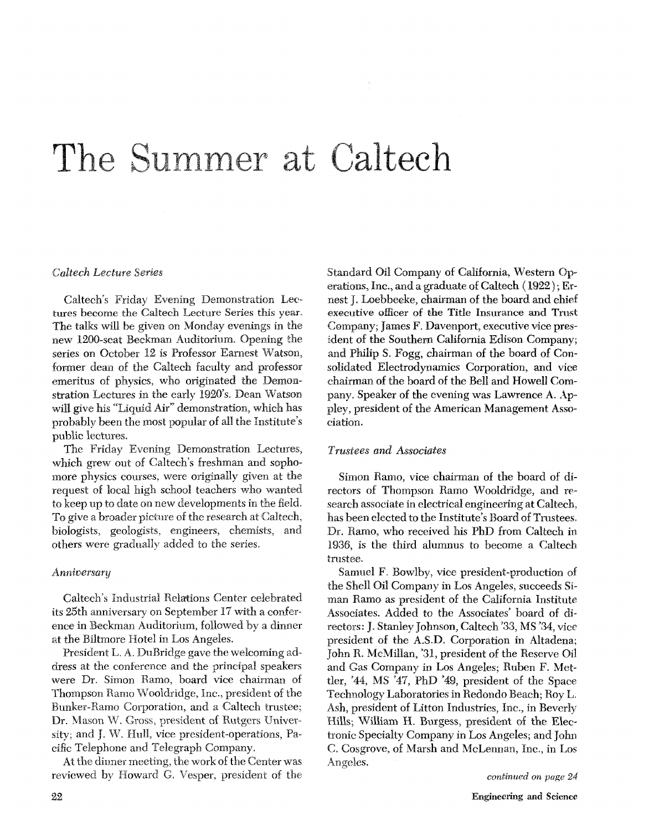# The Summer at Caltech

#### *Caltech Lecture*

Caltech's Friday Evening Demonstration Lectures become the Caltech Lecture Series this year. The talks will be given on Monday evenings in the new 1200-seat Beckman Auditorium. Opening the series on October 12 is Professor Earnest Watson, former dean of the Caltech faculty and professor emeritus of physics, who originated the Demonstration Lectures in the early 1920's. Dean Watson will give his "Liquid Air" demonstration, which has probably been the most popular of all the Institute's public lectures.

The Friday Evening Demonstration Lectures, which grew out of Caltech's freshman and sophomore physics courses, were originally given at the request of local high school teachers who wanted to keep up to date on new developments in the field. To give a broader picture of the research at Caltech, biologists, geologists, engineers, chemists, and others were gradually added to the series.

#### Anniversary

Caltech's Industrial Relations Center celebrated its 25th anniversa ence in Beckman Auditorium, followed by a dinner at the Biltmore Hotel in Los Angeles.

President L. A. DuBridge gave the welcoming address at the conference and the principal speakers were Dr. Simon Ramo, board vice chairman of Thompson Ramo Wooldridge, Inc., president of the Bunker-Ramo Corporation, and a Caltech trustee; Dr. Mason W. Gross, president of Rutgers University; and J. W. Hull, vice president-operations, Pacific Telephone and Telegraph Company.

At the dinner meeting, the work of the Center was reviewed by Howard *G.* Vesper, president of the Standard Oil Company of California, Western Operations, Inc., and a graduate of Caltech  $(1922)$ ; Ernest I. Loebbecke, chairman of the board and chief executive officer of the Title Insurance and Trust Company; James F. Davenport, executiv ident of the Southern California Edison Company; and Philip S. Fogg, chairman of the board of Consolidated Electrodynamics Corporation, and vice chairman of the board of the Bell and Howell Company. Speaker of the evening was Lawrence A. Appley, president of the American Management Association.

#### *Trustees and Associates*

Simon Ramo, vice chairman of the board of directors of Thompson Ramo Wooldridge, and research associate in electrical engineering at Caltech. has been elected to the Institute's Board of Trustees. Dr. Ramo, who received his PhD from Caltech in 1936, is the third alumnus to become a Caltech trustee.

Samuel F. Bowlby, vice president-production of the Shell Oil Company in Los Angeles, succeeds Siman Ramo as president of the California Institute Associates. Added to the Associates' board of directors: J. Stanley Johnson, Caltech **'33,** MS '34, vice president of the **A.S.D.** Corporation in Altadena; John R. McMillan, '31, president of the Reserve Oil and Gas Company in Los Angeles: Ruben F. Mettler, '44, MS '47, PhD '49, president of the Space Technology Laboratories in Redondo Beach; Roy L. Ash, president of Litton Industries, Inc., in Beverly Hills; William H. Burgess, president of the Electronic Specialty Company in Los Angeles; and John C. Cosgrove, of Marsh and McLennan, Inc., in Los Angeles.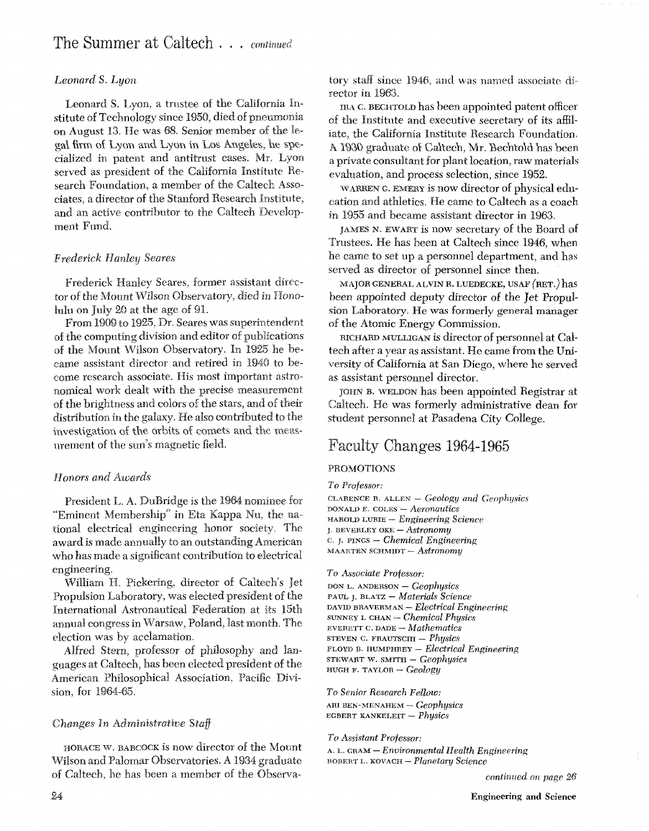## *Leonard* S. *Lgon*

Leonard S. Lyon, a trustee of the California Institute of Technology since 1950, died of pneumonia on August **13.** He was 68. S gal firm of Lyon and Lyon in Los Angeles, he specialized in patent and antitrust cases. Mr. Lyon served as president of the California Institute Research Foundation, a member of the Caltech Associates. a director of the Stanfor and an active contributor to the Caltech Developmerit Fund.

### **Frederick Hanley Seares**

Frederick Hanley Seares, former assistant director of the Mount Wilson Observatory, died in Honolulu on July 20 at the age of 91.

From 1909 to 1925, Dr. Seares was superintendent of the computing division and editor of publications of the Mount Wilson Observatory. In 1925 he became assistant director and retired in 1940 to become research associate. His most important astronomical work dealt with the precise measurement of the brightness and colors of the stars, and of their distribution in the galaxy. He also contributed to the investigation of the orbits of comets and the measurement of the sun's magnetic field.

## Honors and Awards

President L. A. DuBridge is the 1964 nominee for "Eminent Membership" in Eta Kappa Nu, the national electrical engineering honor society. The award is made annually to an outstanding American who has made a significant contribution to electrical engineering.

William H. Pickering, director of Caltech's Jet Propulsion Laboratory, was elected president of the International Astronautical Federation at its 15th annual congress in Warsaw, Poland, last month. The election was by acclamation.

Alfred Stern, professor of philosophy and languages at Caltech, has been elected president of the American Philosophical Association, Pacific Division, for 1964-65.

## *Changes* **In** Administrative Staff

HORACE W. BABCOCK is now director of the Mount Wilson and Palomar Observatories. A 1934 graduate of Caltech, he has been a member of the Observatory staff since 1946, and was named associate director in 1963.

IBA *c.* **BECHTOLD** has been appointed patent officer of the Institute and executive secretary of its affiliate, the California Institute Research Foundation. A 1930 graduate of Caltech, Mr. Bechtold has been a private consultant for plant location, raw materials evaluation, and process selection, since 1952.

WARREN G. EMERY is now director of physical education and athletics. He came to Caltech as a coach in 1955 and became assistant director in 1963.

JAMES N. EWART is now secretary of the Board of Trustees. He has been at Caltech since 1946, when he came to set up a personnel department, and has served as director of personnel since then.

MAJOR GENERAL ALVIN R. LUEDECKE, USAF (RET.) has been appointed deputy director of the Jet Propulsion Laboratory. He was formerly general manager of the Atomic Energy Commission.

RICHARD MULLIGAN is director of personnel at Caltech after a year as assistant. He came from the University of California at San Diego, where he served as assistant personnel director.

JOHN B. WELDON has been appointed Registrar at Caltech. He was formerly administrative dean for student personnel at Pasadena City College.

# Faculty Changes 1964-1965

#### PROMOTIONS

*To Professor:* 

**CL YRENCE B. ALLEN** - *Geology and Geophysics*  **DONALD E. COLES** - *Aeronautics*  **HAROLD LWRIE** - *Engineering Science*  **FAROLD LURIE –** *Engineering*<br>*BEVERLEY OKE – Astronomy* <sup>c</sup>**J. PINGS** - *Chemical Engineermg*  **MAARTEN SCHMIDT** - *Astronomy* 

*To Associate Professor:*  **DON L. ANDERSON** - *CeophysiCs*  **PAUL** J. **BLATZ** - *Materials Science DAVID* **BRAVERMAN** - *Electrical Engineering*  **SUNNEY i. CHAN** - *Chemical Physics*  **EVERETT c.** DADE - *Mathematics*  **STEVERETT C. DADE -** *Mathematics*<br>STEVEN C. FRAUTSCHI - *Physics* **FLOYD B. HUMPHREY** - *Electrical Engineering*  FLOYD B. HUMPHREY — *Electrical E*<br>STEWART W. SMITH — *Geophysics* **HEWART W. SMITH -** *Geophysics*<br>**HUGH F. TAYLOR -** *Geology* 

*To Senior Research Fellow:*  **ARI BEN-MENAHEM** - *Geophysics*  **EGBERT KANKELEIT** - *Physics* 

*To Assistant Professor: A.* **L. GRAM** - *Environmental Health Engineering*  **ROBERT L. KOVACH** - *Planetary Science* 

*continued on page 26*